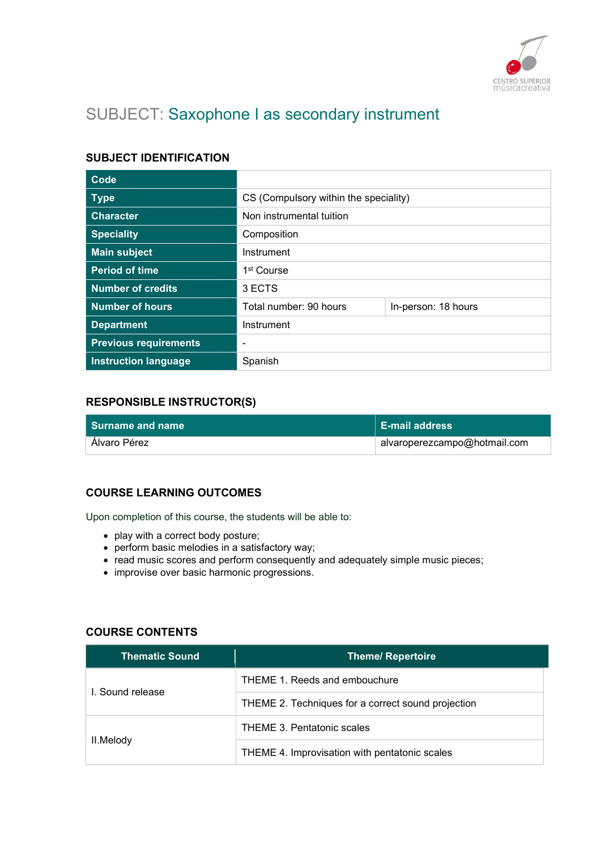

# SUBJECT: Saxophone I as secondary instrument

## SUBJECT IDENTIFICATION

| Code                         |                                       |                     |
|------------------------------|---------------------------------------|---------------------|
| <b>Type</b>                  | CS (Compulsory within the speciality) |                     |
| <b>Character</b>             | Non instrumental tuition              |                     |
| <b>Speciality</b>            | Composition                           |                     |
| <b>Main subject</b>          | Instrument                            |                     |
| <b>Period of time</b>        | 1 <sup>st</sup> Course                |                     |
| <b>Number of credits</b>     | 3 ECTS                                |                     |
| <b>Number of hours</b>       | Total number: 90 hours                | In-person: 18 hours |
| <b>Department</b>            | Instrument                            |                     |
| <b>Previous requirements</b> | ۰                                     |                     |
| <b>Instruction language</b>  | Spanish                               |                     |

## RESPONSIBLE INSTRUCTOR(S)

| l Surname and name | l E-mail address i           |
|--------------------|------------------------------|
| Alvaro Pérez       | alvaroperezcampo@hotmail.com |

# COURSE LEARNING OUTCOMES

Upon completion of this course, the students will be able to:

- play with a correct body posture;
- perform basic melodies in a satisfactory way;
- read music scores and perform consequently and adequately simple music pieces;
- improvise over basic harmonic progressions.

#### COURSE CONTENTS

| <b>Thematic Sound</b> | <b>Theme/ Repertoire</b>                           |
|-----------------------|----------------------------------------------------|
|                       | THEME 1. Reeds and embouchure                      |
| I. Sound release      | THEME 2. Techniques for a correct sound projection |
| II.Melody             | THEME 3. Pentatonic scales                         |
|                       | THEME 4. Improvisation with pentatonic scales      |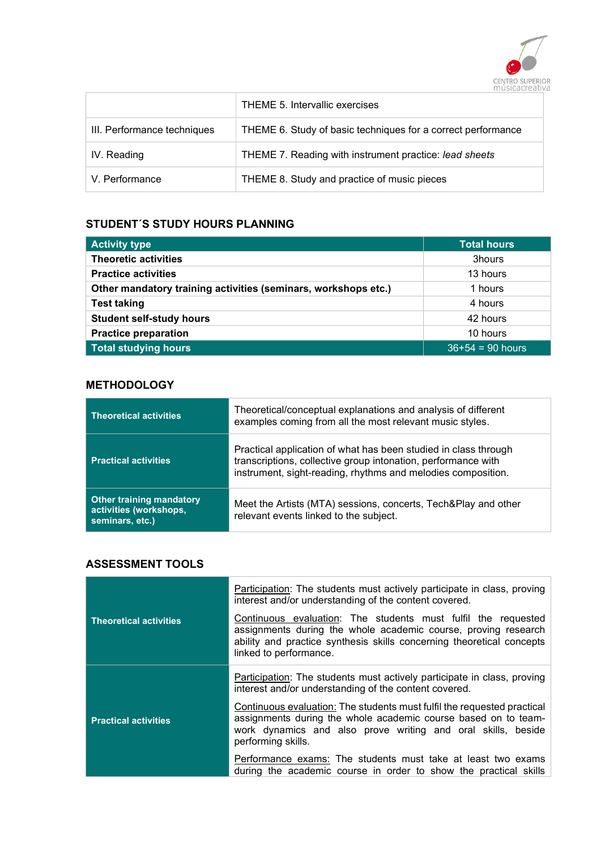

|                             | THEME 5. Intervallic exercises                               |
|-----------------------------|--------------------------------------------------------------|
| III. Performance techniques | THEME 6. Study of basic techniques for a correct performance |
| IV. Reading                 | THEME 7. Reading with instrument practice: lead sheets       |
| V. Performance              | THEME 8. Study and practice of music pieces                  |

## STUDENT´S STUDY HOURS PLANNING

| <b>Activity type</b>                                           | <b>Total hours</b> |
|----------------------------------------------------------------|--------------------|
| <b>Theoretic activities</b>                                    | 3hours             |
| <b>Practice activities</b>                                     | 13 hours           |
| Other mandatory training activities (seminars, workshops etc.) | 1 hours            |
| <b>Test taking</b>                                             | 4 hours            |
| <b>Student self-study hours</b>                                | 42 hours           |
| <b>Practice preparation</b>                                    | 10 hours           |
| <b>Total studying hours</b>                                    | $36+54 = 90$ hours |

# **METHODOLOGY**

| <b>Theoretical activities</b>                                                | Theoretical/conceptual explanations and analysis of different<br>examples coming from all the most relevant music styles.                                                                        |
|------------------------------------------------------------------------------|--------------------------------------------------------------------------------------------------------------------------------------------------------------------------------------------------|
| <b>Practical activities</b>                                                  | Practical application of what has been studied in class through<br>transcriptions, collective group intonation, performance with<br>instrument, sight-reading, rhythms and melodies composition. |
| <b>Other training mandatory</b><br>activities (workshops,<br>seminars, etc.) | Meet the Artists (MTA) sessions, concerts, Tech&Play and other<br>relevant events linked to the subject.                                                                                         |

# ASSESSMENT TOOLS

|                               | Participation: The students must actively participate in class, proving<br>interest and/or understanding of the content covered.                                                                                                   |
|-------------------------------|------------------------------------------------------------------------------------------------------------------------------------------------------------------------------------------------------------------------------------|
| <b>Theoretical activities</b> | Continuous evaluation: The students must fulfil the requested<br>assignments during the whole academic course, proving research<br>ability and practice synthesis skills concerning theoretical concepts<br>linked to performance. |
|                               | Participation: The students must actively participate in class, proving<br>interest and/or understanding of the content covered.                                                                                                   |
| <b>Practical activities</b>   | Continuous evaluation: The students must fulfil the requested practical<br>assignments during the whole academic course based on to team-<br>work dynamics and also prove writing and oral skills, beside<br>performing skills.    |
|                               | Performance exams: The students must take at least two exams<br>during the academic course in order to show the practical skills                                                                                                   |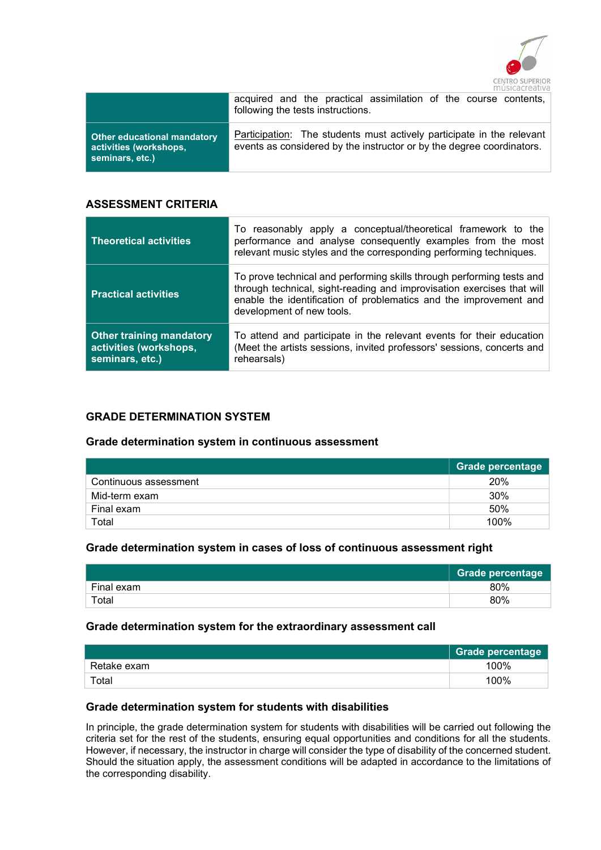

|                                                                          | acquired and the practical assimilation of the course contents,<br>following the tests instructions.                                           |
|--------------------------------------------------------------------------|------------------------------------------------------------------------------------------------------------------------------------------------|
| Other educational mandatory<br>activities (workshops,<br>seminars, etc.) | Participation: The students must actively participate in the relevant<br>events as considered by the instructor or by the degree coordinators. |

#### ASSESSMENT CRITERIA

| <b>Theoretical activities</b>                                                | To reasonably apply a conceptual/theoretical framework to the<br>performance and analyse consequently examples from the most<br>relevant music styles and the corresponding performing techniques.                                                |
|------------------------------------------------------------------------------|---------------------------------------------------------------------------------------------------------------------------------------------------------------------------------------------------------------------------------------------------|
| <b>Practical activities</b>                                                  | To prove technical and performing skills through performing tests and<br>through technical, sight-reading and improvisation exercises that will<br>enable the identification of problematics and the improvement and<br>development of new tools. |
| <b>Other training mandatory</b><br>activities (workshops,<br>seminars, etc.) | To attend and participate in the relevant events for their education<br>(Meet the artists sessions, invited professors' sessions, concerts and<br>rehearsals)                                                                                     |

#### GRADE DETERMINATION SYSTEM

#### Grade determination system in continuous assessment

|                       | <b>Grade percentage</b> |
|-----------------------|-------------------------|
| Continuous assessment | 20%                     |
| Mid-term exam         | 30%                     |
| Final exam            | 50%                     |
| Total                 | 100%                    |

#### Grade determination system in cases of loss of continuous assessment right

|            | <b>Grade percentage</b> |
|------------|-------------------------|
| Final exam | 80%                     |
| Total      | 80%                     |

#### Grade determination system for the extraordinary assessment call

|             | <b>Grade percentage</b> |
|-------------|-------------------------|
| Retake exam | 100%                    |
| Total       | 100%                    |

#### Grade determination system for students with disabilities

In principle, the grade determination system for students with disabilities will be carried out following the criteria set for the rest of the students, ensuring equal opportunities and conditions for all the students. However, if necessary, the instructor in charge will consider the type of disability of the concerned student. Should the situation apply, the assessment conditions will be adapted in accordance to the limitations of the corresponding disability.